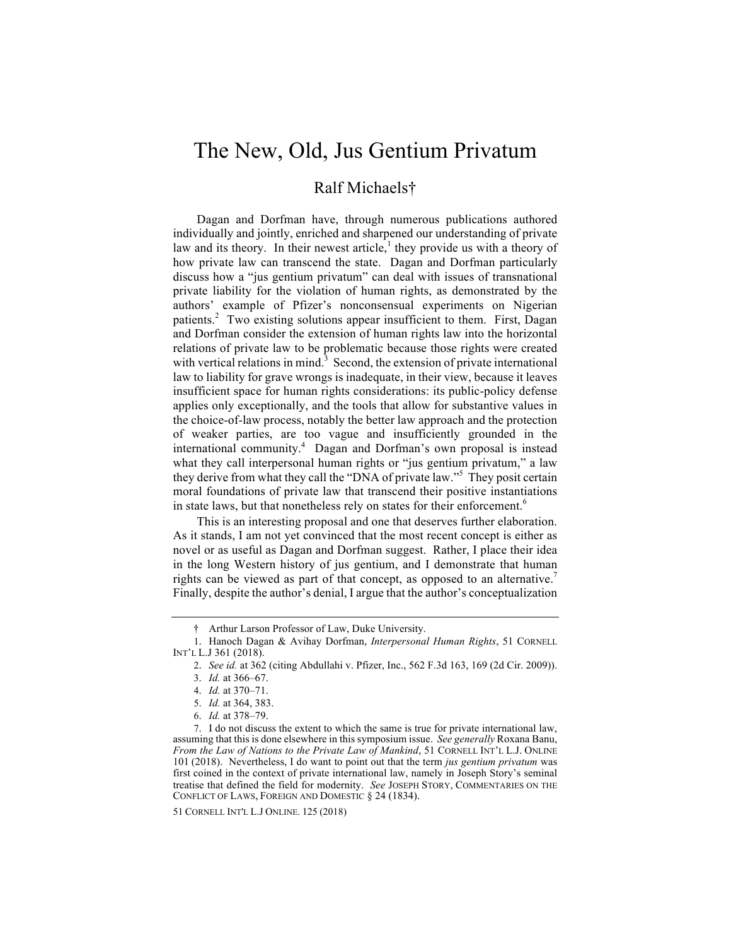# The New, Old, Jus Gentium Privatum

## Ralf Michaels†

Dagan and Dorfman have, through numerous publications authored individually and jointly, enriched and sharpened our understanding of private law and its theory. In their newest article, $\frac{1}{1}$  they provide us with a theory of how private law can transcend the state. Dagan and Dorfman particularly discuss how a "jus gentium privatum" can deal with issues of transnational private liability for the violation of human rights, as demonstrated by the authors' example of Pfizer's nonconsensual experiments on Nigerian patients.<sup>2</sup> Two existing solutions appear insufficient to them. First, Dagan and Dorfman consider the extension of human rights law into the horizontal relations of private law to be problematic because those rights were created with vertical relations in mind.<sup>3</sup> Second, the extension of private international law to liability for grave wrongs is inadequate, in their view, because it leaves insufficient space for human rights considerations: its public-policy defense applies only exceptionally, and the tools that allow for substantive values in the choice-of-law process, notably the better law approach and the protection of weaker parties, are too vague and insufficiently grounded in the international community.<sup>4</sup> Dagan and Dorfman's own proposal is instead what they call interpersonal human rights or "jus gentium privatum," a law they derive from what they call the "DNA of private law."<sup>5</sup> They posit certain moral foundations of private law that transcend their positive instantiations in state laws, but that nonetheless rely on states for their enforcement.<sup>6</sup>

This is an interesting proposal and one that deserves further elaboration. As it stands, I am not yet convinced that the most recent concept is either as novel or as useful as Dagan and Dorfman suggest. Rather, I place their idea in the long Western history of jus gentium, and I demonstrate that human rights can be viewed as part of that concept, as opposed to an alternative. Finally, despite the author's denial, I argue that the author's conceptualization

<sup>†</sup> Arthur Larson Professor of Law, Duke University.

<sup>1.</sup> Hanoch Dagan & Avihay Dorfman, *Interpersonal Human Rights*, 51 CORNELL INT'L L.J 361 (2018).

<sup>2.</sup> *See id.* at 362 (citing Abdullahi v. Pfizer, Inc., 562 F.3d 163, 169 (2d Cir. 2009)).

<sup>3.</sup> *Id.* at 366–67.

<sup>4.</sup> *Id.* at 370–71.

<sup>5.</sup> *Id.* at 364, 383.

<sup>6.</sup> *Id.* at 378–79.

<sup>7.</sup> I do not discuss the extent to which the same is true for private international law, assuming that this is done elsewhere in this symposium issue. *See generally* Roxana Banu, *From the Law of Nations to the Private Law of Mankind*, 51 CORNELL INT'L L.J. ONLINE 101 (2018). Nevertheless, I do want to point out that the term *jus gentium privatum* was first coined in the context of private international law, namely in Joseph Story's seminal treatise that defined the field for modernity. *See* JOSEPH STORY, COMMENTARIES ON THE CONFLICT OF LAWS, FOREIGN AND DOMESTIC § 24 (1834).

<sup>51</sup> CORNELL INT'L L.J ONLINE. 125 (2018)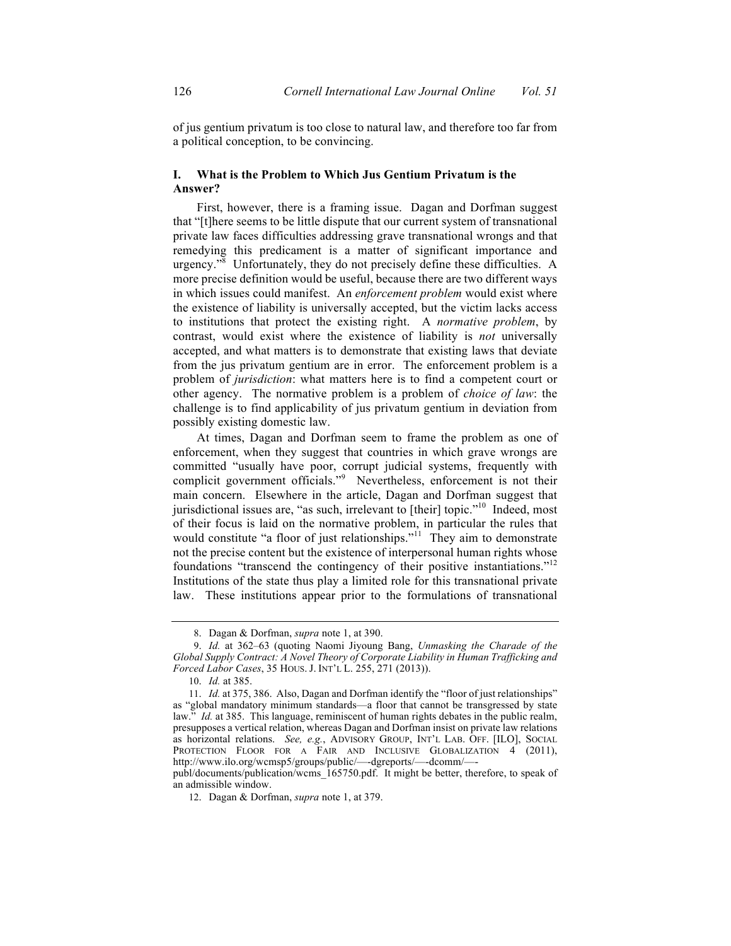of jus gentium privatum is too close to natural law, and therefore too far from a political conception, to be convincing.

### **I. What is the Problem to Which Jus Gentium Privatum is the Answer?**

First, however, there is a framing issue. Dagan and Dorfman suggest that "[t]here seems to be little dispute that our current system of transnational private law faces difficulties addressing grave transnational wrongs and that remedying this predicament is a matter of significant importance and urgency.<sup> $\sqrt{8}$ </sup> Unfortunately, they do not precisely define these difficulties. A more precise definition would be useful, because there are two different ways in which issues could manifest. An *enforcement problem* would exist where the existence of liability is universally accepted, but the victim lacks access to institutions that protect the existing right. A *normative problem*, by contrast, would exist where the existence of liability is *not* universally accepted, and what matters is to demonstrate that existing laws that deviate from the jus privatum gentium are in error. The enforcement problem is a problem of *jurisdiction*: what matters here is to find a competent court or other agency. The normative problem is a problem of *choice of law*: the challenge is to find applicability of jus privatum gentium in deviation from possibly existing domestic law.

At times, Dagan and Dorfman seem to frame the problem as one of enforcement, when they suggest that countries in which grave wrongs are committed "usually have poor, corrupt judicial systems, frequently with complicit government officials."<sup>9</sup> Nevertheless, enforcement is not their main concern. Elsewhere in the article, Dagan and Dorfman suggest that jurisdictional issues are, "as such, irrelevant to [their] topic."<sup>10</sup> Indeed, most of their focus is laid on the normative problem, in particular the rules that would constitute "a floor of just relationships."<sup>11</sup> They aim to demonstrate not the precise content but the existence of interpersonal human rights whose foundations "transcend the contingency of their positive instantiations."12 Institutions of the state thus play a limited role for this transnational private law. These institutions appear prior to the formulations of transnational

<sup>8.</sup> Dagan & Dorfman, *supra* note 1, at 390.

<sup>9.</sup> *Id.* at 362–63 (quoting Naomi Jiyoung Bang, *Unmasking the Charade of the Global Supply Contract: A Novel Theory of Corporate Liability in Human Trafficking and Forced Labor Cases*, 35 HOUS. J. INT'L L. 255, 271 (2013)).

<sup>10.</sup> *Id.* at 385.

<sup>11.</sup> *Id.* at 375, 386. Also, Dagan and Dorfman identify the "floor of just relationships" as "global mandatory minimum standards—a floor that cannot be transgressed by state law." *Id.* at 385. This language, reminiscent of human rights debates in the public realm, presupposes a vertical relation, whereas Dagan and Dorfman insist on private law relations as horizontal relations. *See, e.g.*, ADVISORY GROUP, INT'L LAB. OFF. [ILO], SOCIAL PROTECTION FLOOR FOR A FAIR AND INCLUSIVE GLOBALIZATION 4 (2011), http://www.ilo.org/wcmsp5/groups/public/—-dgreports/—-dcomm/—-

publ/documents/publication/wcms\_165750.pdf. It might be better, therefore, to speak of an admissible window.

<sup>12.</sup> Dagan & Dorfman, *supra* note 1, at 379.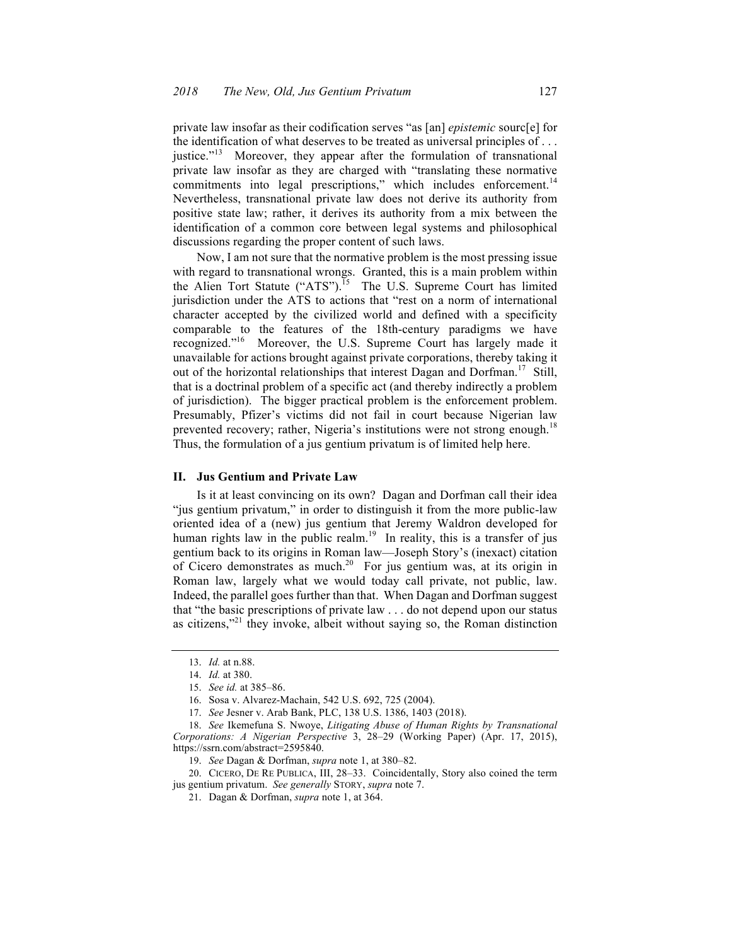private law insofar as their codification serves "as [an] *epistemic* sourc[e] for the identification of what deserves to be treated as universal principles of . . . justice."<sup>13</sup> Moreover, they appear after the formulation of transnational private law insofar as they are charged with "translating these normative commitments into legal prescriptions," which includes enforcement.<sup>14</sup> Nevertheless, transnational private law does not derive its authority from positive state law; rather, it derives its authority from a mix between the identification of a common core between legal systems and philosophical discussions regarding the proper content of such laws.

Now, I am not sure that the normative problem is the most pressing issue with regard to transnational wrongs. Granted, this is a main problem within the Alien Tort Statute ("ATS").<sup>15</sup> The U.S. Supreme Court has limited jurisdiction under the ATS to actions that "rest on a norm of international character accepted by the civilized world and defined with a specificity comparable to the features of the 18th-century paradigms we have recognized."16 Moreover, the U.S. Supreme Court has largely made it unavailable for actions brought against private corporations, thereby taking it out of the horizontal relationships that interest Dagan and Dorfman.<sup>17</sup> Still, that is a doctrinal problem of a specific act (and thereby indirectly a problem of jurisdiction). The bigger practical problem is the enforcement problem. Presumably, Pfizer's victims did not fail in court because Nigerian law prevented recovery; rather, Nigeria's institutions were not strong enough.<sup>18</sup> Thus, the formulation of a jus gentium privatum is of limited help here.

#### **II. Jus Gentium and Private Law**

Is it at least convincing on its own? Dagan and Dorfman call their idea "jus gentium privatum," in order to distinguish it from the more public-law oriented idea of a (new) jus gentium that Jeremy Waldron developed for human rights law in the public realm.<sup>19</sup> In reality, this is a transfer of jus gentium back to its origins in Roman law—Joseph Story's (inexact) citation of Cicero demonstrates as much.20 For jus gentium was, at its origin in Roman law, largely what we would today call private, not public, law. Indeed, the parallel goes further than that. When Dagan and Dorfman suggest that "the basic prescriptions of private law . . . do not depend upon our status as citizens,"<sup>21</sup> they invoke, albeit without saying so, the Roman distinction

20. CICERO, DE RE PUBLICA, III, 28–33. Coincidentally, Story also coined the term jus gentium privatum. *See generally* STORY, *supra* note 7.

<sup>13.</sup> *Id.* at n.88.

<sup>14.</sup> *Id.* at 380.

<sup>15.</sup> *See id.* at 385–86.

<sup>16.</sup> Sosa v. Alvarez-Machain, 542 U.S. 692, 725 (2004).

<sup>17.</sup> *See* Jesner v. Arab Bank, PLC, 138 U.S. 1386, 1403 (2018).

<sup>18.</sup> *See* Ikemefuna S. Nwoye, *Litigating Abuse of Human Rights by Transnational Corporations: A Nigerian Perspective* 3, 28–29 (Working Paper) (Apr. 17, 2015), https://ssrn.com/abstract=2595840.

<sup>19.</sup> *See* Dagan & Dorfman, *supra* note 1, at 380–82.

<sup>21.</sup> Dagan & Dorfman, *supra* note 1, at 364.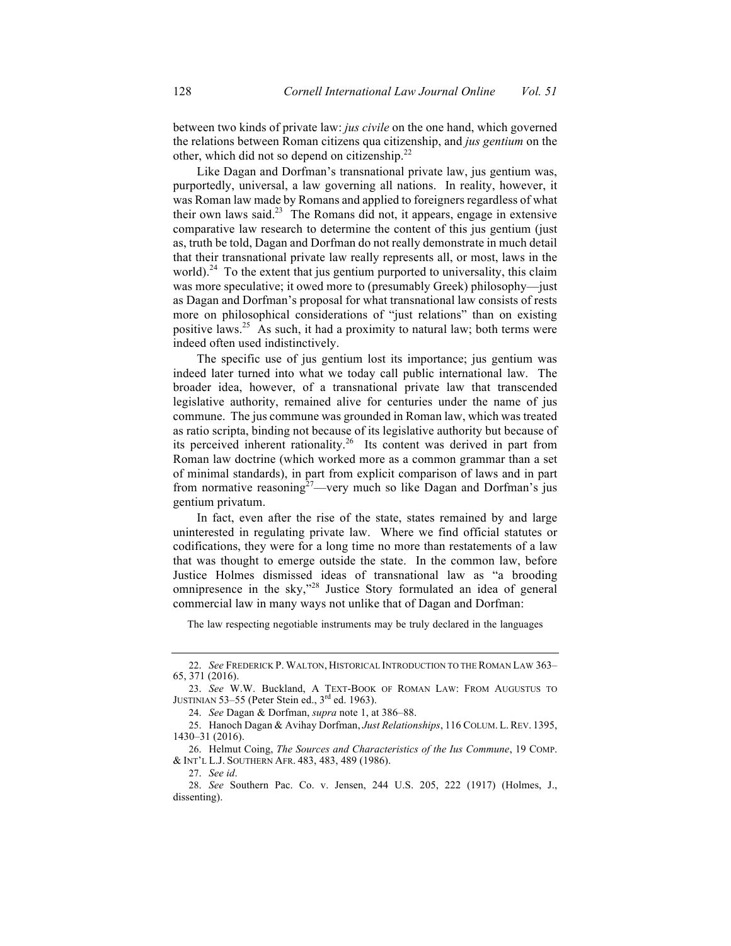between two kinds of private law: *jus civile* on the one hand, which governed the relations between Roman citizens qua citizenship, and *jus gentium* on the other, which did not so depend on citizenship.<sup>22</sup>

Like Dagan and Dorfman's transnational private law, jus gentium was, purportedly, universal, a law governing all nations. In reality, however, it was Roman law made by Romans and applied to foreigners regardless of what their own laws said.23 The Romans did not, it appears, engage in extensive comparative law research to determine the content of this jus gentium (just as, truth be told, Dagan and Dorfman do not really demonstrate in much detail that their transnational private law really represents all, or most, laws in the world).<sup>24</sup> To the extent that jus gentium purported to universality, this claim was more speculative; it owed more to (presumably Greek) philosophy—just as Dagan and Dorfman's proposal for what transnational law consists of rests more on philosophical considerations of "just relations" than on existing positive laws.<sup>25</sup> As such, it had a proximity to natural law; both terms were indeed often used indistinctively.

The specific use of jus gentium lost its importance; jus gentium was indeed later turned into what we today call public international law. The broader idea, however, of a transnational private law that transcended legislative authority, remained alive for centuries under the name of jus commune. The jus commune was grounded in Roman law, which was treated as ratio scripta, binding not because of its legislative authority but because of its perceived inherent rationality.<sup>26</sup> Its content was derived in part from Roman law doctrine (which worked more as a common grammar than a set of minimal standards), in part from explicit comparison of laws and in part from normative reasoning<sup>27</sup>—very much so like Dagan and Dorfman's jus gentium privatum.

In fact, even after the rise of the state, states remained by and large uninterested in regulating private law. Where we find official statutes or codifications, they were for a long time no more than restatements of a law that was thought to emerge outside the state. In the common law, before Justice Holmes dismissed ideas of transnational law as "a brooding omnipresence in the sky,"<sup>28</sup> Justice Story formulated an idea of general commercial law in many ways not unlike that of Dagan and Dorfman:

The law respecting negotiable instruments may be truly declared in the languages

<sup>22.</sup> *See* FREDERICK P. WALTON, HISTORICAL INTRODUCTION TO THE ROMAN LAW 363– 65, 371 (2016).

<sup>23.</sup> *See* W.W. Buckland, A TEXT-BOOK OF ROMAN LAW: FROM AUGUSTUS TO JUSTINIAN 53–55 (Peter Stein ed.,  $3<sup>rd</sup>$  ed. 1963).

<sup>24.</sup> *See* Dagan & Dorfman, *supra* note 1, at 386–88.

<sup>25.</sup> Hanoch Dagan & Avihay Dorfman, *Just Relationships*, 116 COLUM. L.REV. 1395, 1430–31 (2016).

<sup>26.</sup> Helmut Coing, *The Sources and Characteristics of the Ius Commune*, 19 COMP. & INT'L L.J. SOUTHERN AFR. 483, 483, 489 (1986).

<sup>27.</sup> *See id*.

<sup>28.</sup> *See* Southern Pac. Co. v. Jensen, 244 U.S. 205, 222 (1917) (Holmes, J., dissenting).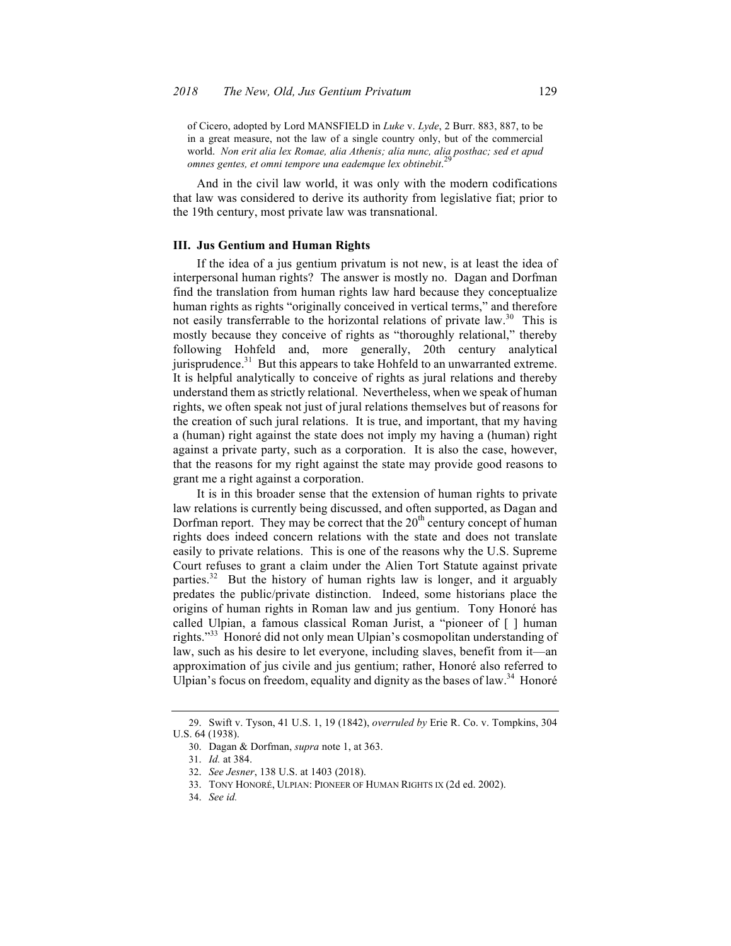of Cicero, adopted by Lord MANSFIELD in *Luke* v. *Lyde*, 2 Burr. 883, 887, to be in a great measure, not the law of a single country only, but of the commercial world. *Non erit alia lex Romae, alia Athenis; alia nunc, alia posthac; sed et apud*  29 *omnes gentes, et omni tempore una eademque lex obtinebit*.

And in the civil law world, it was only with the modern codifications that law was considered to derive its authority from legislative fiat; prior to the 19th century, most private law was transnational.

#### **III. Jus Gentium and Human Rights**

If the idea of a jus gentium privatum is not new, is at least the idea of interpersonal human rights? The answer is mostly no. Dagan and Dorfman find the translation from human rights law hard because they conceptualize human rights as rights "originally conceived in vertical terms," and therefore not easily transferrable to the horizontal relations of private law.<sup>30</sup> This is mostly because they conceive of rights as "thoroughly relational," thereby following Hohfeld and, more generally, 20th century analytical jurisprudence.<sup>31</sup> But this appears to take Hohfeld to an unwarranted extreme. It is helpful analytically to conceive of rights as jural relations and thereby understand them as strictly relational. Nevertheless, when we speak of human rights, we often speak not just of jural relations themselves but of reasons for the creation of such jural relations. It is true, and important, that my having a (human) right against the state does not imply my having a (human) right against a private party, such as a corporation. It is also the case, however, that the reasons for my right against the state may provide good reasons to grant me a right against a corporation.

It is in this broader sense that the extension of human rights to private law relations is currently being discussed, and often supported, as Dagan and Dorfman report. They may be correct that the  $20<sup>th</sup>$  century concept of human rights does indeed concern relations with the state and does not translate easily to private relations. This is one of the reasons why the U.S. Supreme Court refuses to grant a claim under the Alien Tort Statute against private parties.<sup>32</sup> But the history of human rights law is longer, and it arguably predates the public/private distinction. Indeed, some historians place the origins of human rights in Roman law and jus gentium. Tony Honoré has called Ulpian, a famous classical Roman Jurist, a "pioneer of [ ] human rights."<sup>33</sup> Honoré did not only mean Ulpian's cosmopolitan understanding of law, such as his desire to let everyone, including slaves, benefit from it—an approximation of jus civile and jus gentium; rather, Honoré also referred to Ulpian's focus on freedom, equality and dignity as the bases of law.<sup>34</sup> Honoré

<sup>29.</sup> Swift v. Tyson, 41 U.S. 1, 19 (1842), *overruled by* Erie R. Co. v. Tompkins, 304 U.S. 64 (1938).

<sup>30.</sup> Dagan & Dorfman, *supra* note 1, at 363.

<sup>31.</sup> *Id.* at 384.

<sup>32.</sup> *See Jesner*, 138 U.S. at 1403 (2018).

<sup>33.</sup> TONY HONORÉ, ULPIAN: PIONEER OF HUMAN RIGHTS IX (2d ed. 2002).

<sup>34.</sup> *See id.*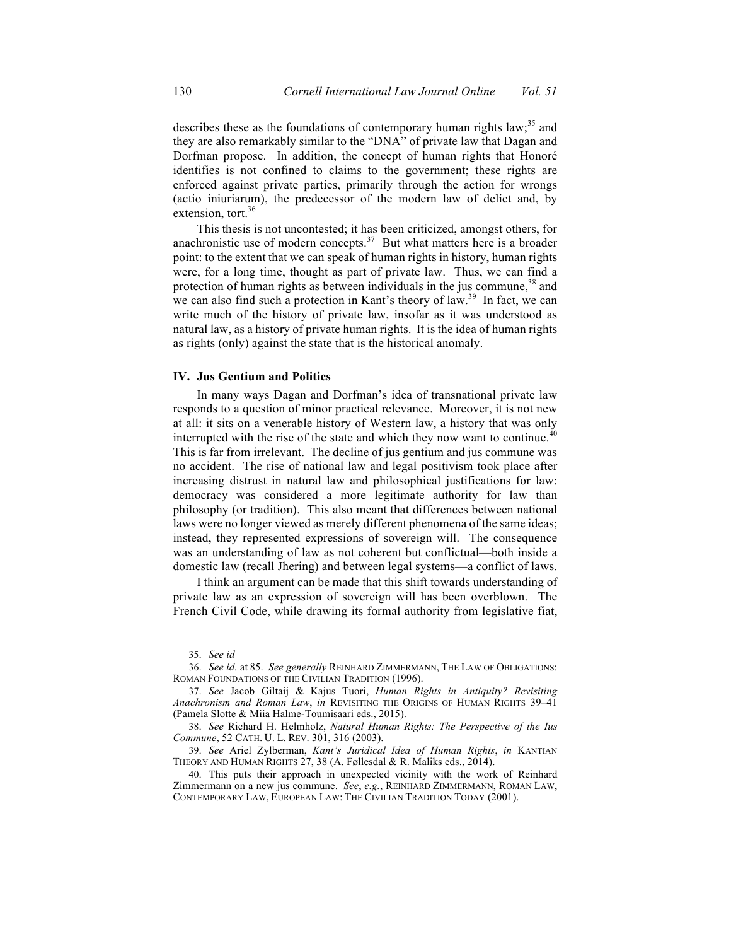describes these as the foundations of contemporary human rights law;<sup>35</sup> and they are also remarkably similar to the "DNA" of private law that Dagan and Dorfman propose. In addition, the concept of human rights that Honoré identifies is not confined to claims to the government; these rights are enforced against private parties, primarily through the action for wrongs (actio iniuriarum), the predecessor of the modern law of delict and, by extension, tort. $36$ 

This thesis is not uncontested; it has been criticized, amongst others, for anachronistic use of modern concepts. $37$  But what matters here is a broader point: to the extent that we can speak of human rights in history, human rights were, for a long time, thought as part of private law. Thus, we can find a protection of human rights as between individuals in the jus commune,  $38$  and we can also find such a protection in Kant's theory of law.<sup>39</sup> In fact, we can write much of the history of private law, insofar as it was understood as natural law, as a history of private human rights. It is the idea of human rights as rights (only) against the state that is the historical anomaly.

#### **IV. Jus Gentium and Politics**

In many ways Dagan and Dorfman's idea of transnational private law responds to a question of minor practical relevance. Moreover, it is not new at all: it sits on a venerable history of Western law, a history that was only interrupted with the rise of the state and which they now want to continue.<sup>40</sup> This is far from irrelevant. The decline of jus gentium and jus commune was no accident. The rise of national law and legal positivism took place after increasing distrust in natural law and philosophical justifications for law: democracy was considered a more legitimate authority for law than philosophy (or tradition). This also meant that differences between national laws were no longer viewed as merely different phenomena of the same ideas; instead, they represented expressions of sovereign will. The consequence was an understanding of law as not coherent but conflictual—both inside a domestic law (recall Jhering) and between legal systems—a conflict of laws.

I think an argument can be made that this shift towards understanding of private law as an expression of sovereign will has been overblown. The French Civil Code, while drawing its formal authority from legislative fiat,

<sup>35.</sup> *See id*

<sup>36.</sup> *See id.* at 85. *See generally* REINHARD ZIMMERMANN, THE LAW OF OBLIGATIONS: ROMAN FOUNDATIONS OF THE CIVILIAN TRADITION (1996).

<sup>37.</sup> *See* Jacob Giltaij & Kajus Tuori, *Human Rights in Antiquity? Revisiting Anachronism and Roman Law*, *in* REVISITING THE ORIGINS OF HUMAN RIGHTS 39–41 (Pamela Slotte & Miia Halme-Toumisaari eds., 2015).

<sup>38.</sup> *See* Richard H. Helmholz, *Natural Human Rights: The Perspective of the Ius Commune*, 52 CATH. U. L. REV. 301, 316 (2003).

<sup>39.</sup> *See* Ariel Zylberman, *Kant's Juridical Idea of Human Rights*, *in* KANTIAN THEORY AND HUMAN RIGHTS 27, 38 (A. Føllesdal & R. Maliks eds., 2014).

<sup>40.</sup> This puts their approach in unexpected vicinity with the work of Reinhard Zimmermann on a new jus commune. *See*, *e.g.*, REINHARD ZIMMERMANN, ROMAN LAW, CONTEMPORARY LAW, EUROPEAN LAW: THE CIVILIAN TRADITION TODAY (2001).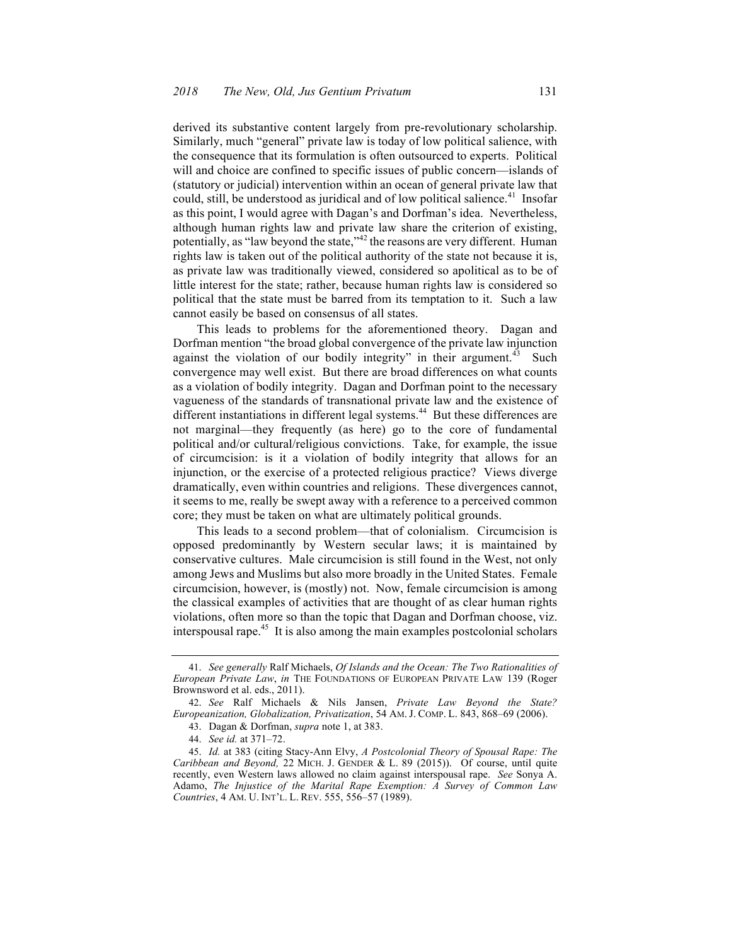derived its substantive content largely from pre-revolutionary scholarship. Similarly, much "general" private law is today of low political salience, with the consequence that its formulation is often outsourced to experts. Political will and choice are confined to specific issues of public concern—islands of (statutory or judicial) intervention within an ocean of general private law that could, still, be understood as juridical and of low political salience.<sup>41</sup> Insofar as this point, I would agree with Dagan's and Dorfman's idea. Nevertheless, although human rights law and private law share the criterion of existing, potentially, as "law beyond the state,"<sup>42</sup> the reasons are very different. Human rights law is taken out of the political authority of the state not because it is, as private law was traditionally viewed, considered so apolitical as to be of little interest for the state; rather, because human rights law is considered so political that the state must be barred from its temptation to it. Such a law cannot easily be based on consensus of all states.

This leads to problems for the aforementioned theory. Dagan and Dorfman mention "the broad global convergence of the private law injunction against the violation of our bodily integrity" in their argument.<sup>43</sup> Such convergence may well exist. But there are broad differences on what counts as a violation of bodily integrity. Dagan and Dorfman point to the necessary vagueness of the standards of transnational private law and the existence of different instantiations in different legal systems.<sup>44</sup> But these differences are not marginal—they frequently (as here) go to the core of fundamental political and/or cultural/religious convictions. Take, for example, the issue of circumcision: is it a violation of bodily integrity that allows for an injunction, or the exercise of a protected religious practice? Views diverge dramatically, even within countries and religions. These divergences cannot, it seems to me, really be swept away with a reference to a perceived common core; they must be taken on what are ultimately political grounds.

This leads to a second problem—that of colonialism. Circumcision is opposed predominantly by Western secular laws; it is maintained by conservative cultures. Male circumcision is still found in the West, not only among Jews and Muslims but also more broadly in the United States. Female circumcision, however, is (mostly) not. Now, female circumcision is among the classical examples of activities that are thought of as clear human rights violations, often more so than the topic that Dagan and Dorfman choose, viz. interspousal rape.45 It is also among the main examples postcolonial scholars

<sup>41.</sup> *See generally* Ralf Michaels, *Of Islands and the Ocean: The Two Rationalities of European Private Law*, *in* THE FOUNDATIONS OF EUROPEAN PRIVATE LAW 139 (Roger Brownsword et al. eds., 2011).

<sup>42.</sup> *See* Ralf Michaels & Nils Jansen, *Private Law Beyond the State? Europeanization, Globalization, Privatization*, 54 AM. J. COMP. L. 843, 868–69 (2006).

<sup>43.</sup> Dagan & Dorfman, *supra* note 1, at 383.

<sup>44.</sup> *See id.* at 371–72.

<sup>45.</sup> *Id.* at 383 (citing Stacy-Ann Elvy, *A Postcolonial Theory of Spousal Rape: The Caribbean and Beyond,* 22 MICH. J. GENDER & L. 89 (2015)). Of course, until quite recently, even Western laws allowed no claim against interspousal rape. *See* Sonya A. Adamo, *The Injustice of the Marital Rape Exemption: A Survey of Common Law Countries*, 4 AM. U. INT'L. L. REV. 555, 556–57 (1989).